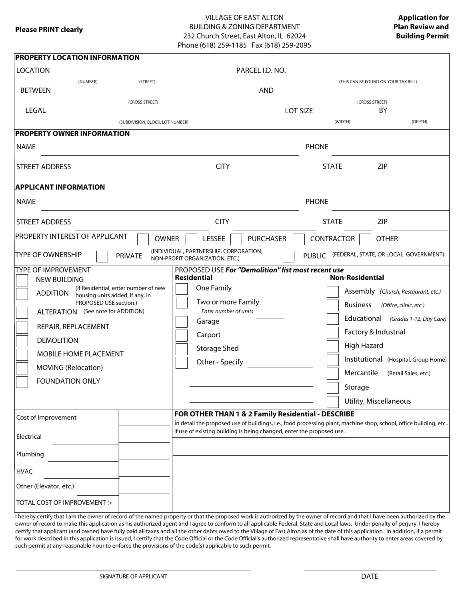### VILLAGE OF EAST ALTON BUILDING & ZONING DEPARTMENT 232 Church Street, East Alton, IL 62024 Phone (618) 259-1185 Fax (618) 259-2095

| <b>PROPERTY LOCATION INFORMATION</b>                                                                                        |                                                                                                                                                                                                                                                                        |             |                                                                                                                                         |                                                                                                                                                                                                                                                                                                                                                                                                                                                                                                                                                    |                                      |  |  |
|-----------------------------------------------------------------------------------------------------------------------------|------------------------------------------------------------------------------------------------------------------------------------------------------------------------------------------------------------------------------------------------------------------------|-------------|-----------------------------------------------------------------------------------------------------------------------------------------|----------------------------------------------------------------------------------------------------------------------------------------------------------------------------------------------------------------------------------------------------------------------------------------------------------------------------------------------------------------------------------------------------------------------------------------------------------------------------------------------------------------------------------------------------|--------------------------------------|--|--|
| <b>LOCATION</b>                                                                                                             |                                                                                                                                                                                                                                                                        |             | PARCEL I.D. NO.                                                                                                                         |                                                                                                                                                                                                                                                                                                                                                                                                                                                                                                                                                    |                                      |  |  |
| (NUMBER)<br><b>BETWEEN</b>                                                                                                  | (STREET)                                                                                                                                                                                                                                                               |             | <b>AND</b>                                                                                                                              |                                                                                                                                                                                                                                                                                                                                                                                                                                                                                                                                                    | (THIS CAN BE FOUND ON YOUR TAX BILL) |  |  |
| LEGAL                                                                                                                       | (CROSS STREET)                                                                                                                                                                                                                                                         |             |                                                                                                                                         | (CROSS STREET)<br>BY<br><b>LOT SIZE</b>                                                                                                                                                                                                                                                                                                                                                                                                                                                                                                            |                                      |  |  |
|                                                                                                                             | (SUBDIVISION, BLOCK, LOT NUMBER)                                                                                                                                                                                                                                       |             |                                                                                                                                         | (WIDTH)                                                                                                                                                                                                                                                                                                                                                                                                                                                                                                                                            | (DEPTH)                              |  |  |
| <b>PROPERTY OWNER INFORMATION</b>                                                                                           |                                                                                                                                                                                                                                                                        |             |                                                                                                                                         |                                                                                                                                                                                                                                                                                                                                                                                                                                                                                                                                                    |                                      |  |  |
| <b>NAME</b>                                                                                                                 |                                                                                                                                                                                                                                                                        |             |                                                                                                                                         |                                                                                                                                                                                                                                                                                                                                                                                                                                                                                                                                                    |                                      |  |  |
| <b>STREET ADDRESS</b>                                                                                                       |                                                                                                                                                                                                                                                                        | <b>CITY</b> |                                                                                                                                         | <b>STATE</b>                                                                                                                                                                                                                                                                                                                                                                                                                                                                                                                                       | <b>ZIP</b>                           |  |  |
| <b>APPLICANT INFORMATION</b>                                                                                                |                                                                                                                                                                                                                                                                        |             |                                                                                                                                         |                                                                                                                                                                                                                                                                                                                                                                                                                                                                                                                                                    |                                      |  |  |
| <b>NAME</b>                                                                                                                 |                                                                                                                                                                                                                                                                        |             |                                                                                                                                         | <b>PHONE</b>                                                                                                                                                                                                                                                                                                                                                                                                                                                                                                                                       |                                      |  |  |
| <b>STREET ADDRESS</b>                                                                                                       |                                                                                                                                                                                                                                                                        | <b>CITY</b> |                                                                                                                                         | <b>STATE</b>                                                                                                                                                                                                                                                                                                                                                                                                                                                                                                                                       | <b>ZIP</b>                           |  |  |
| <b>PROPERTY INTEREST OF APPLICANT</b>                                                                                       | <b>OWNER</b>                                                                                                                                                                                                                                                           | LESSEE      | <b>PURCHASER</b>                                                                                                                        | CONTRACTOR                                                                                                                                                                                                                                                                                                                                                                                                                                                                                                                                         | <b>OTHER</b>                         |  |  |
| <b>TYPE OF OWNERSHIP</b>                                                                                                    | PUBLIC (FEDERAL, STATE, OR LOCAL GOVERNMENT)                                                                                                                                                                                                                           |             |                                                                                                                                         |                                                                                                                                                                                                                                                                                                                                                                                                                                                                                                                                                    |                                      |  |  |
| <b>NEW BUILDING</b><br><b>ADDITION</b><br><b>DEMOLITION</b><br>Cost of improvement<br>Electrical<br>Plumbing<br><b>HVAC</b> | <b>TYPE OF IMPROVEMENT</b><br>(If Residential, enter number of new<br>housing units added, if any, in<br>PROPOSED USE section.)<br>ALTERATION (See note for ADDITION)<br>REPAIR, REPLACEMENT<br>MOBILE HOME PLACEMENT<br>MOVING (Relocation)<br><b>FOUNDATION ONLY</b> |             | Two or more Family<br>Enter number of units<br>Other - Specify<br>If use of existing building is being changed, enter the proposed use. | PROPOSED USE For "Demolition" list most recent use<br><b>Non-Residential</b><br>Assembly (Church, Restaurant, etc.)<br><b>Business</b><br>(Office, clinic, etc.)<br>Educational (Grades 1-12, Day Care)<br>Factory & Industrial<br><b>High Hazard</b><br>Institutional (Hospital, Group Home)<br>Mercantile<br>(Retail Sales, etc.)<br>Storage<br>Utility, Miscellaneous<br>FOR OTHER THAN 1 & 2 Family Residential - DESCRIBE<br>in detail the proposed use of buildings, i.e., food processing plant, machine shop, school, office building, etc |                                      |  |  |
| Other (Elevator, etc.)                                                                                                      |                                                                                                                                                                                                                                                                        |             |                                                                                                                                         |                                                                                                                                                                                                                                                                                                                                                                                                                                                                                                                                                    |                                      |  |  |
| TOTAL COST OF IMPROVEMENT->                                                                                                 |                                                                                                                                                                                                                                                                        |             |                                                                                                                                         |                                                                                                                                                                                                                                                                                                                                                                                                                                                                                                                                                    |                                      |  |  |

I hereby certify that I am the owner of record of the named property or that the proposed work is authorized by the owner of record and that I have been authorized by the owner of record to make this application as his authorized agent and I agree to conform to all applicable Federal, State and Local laws. Under penalty of perjury, I hereby certify that applicant (and owner) have fully paid all taxes and all the other debts owed to the Village of East Alton as of the date of this application. In addition, if a permit for work described in this application is issued, I certify that the Code Official or the Code Official's authorized representative shall have authority to enter areas covered by such permit at any reasonable hour to enforce the provisions of the code(s) applicable to such permit.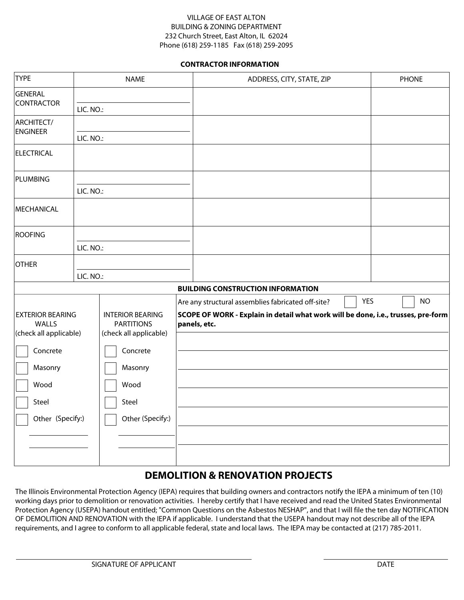### VILLAGE OF EAST ALTON BUILDING & ZONING DEPARTMENT 232 Church Street, East Alton, IL 62024 Phone (618) 259-1185 Fax (618) 259-2095

### **CONTRACTOR INFORMATION**

| <b>TYPE</b>                                                | <b>NAME</b> |                                                                        |  | ADDRESS, CITY, STATE, ZIP                                                                                                                                             | <b>PHONE</b> |
|------------------------------------------------------------|-------------|------------------------------------------------------------------------|--|-----------------------------------------------------------------------------------------------------------------------------------------------------------------------|--------------|
| <b>GENERAL</b><br><b>CONTRACTOR</b>                        | LIC. NO.:   |                                                                        |  |                                                                                                                                                                       |              |
| ARCHITECT/<br><b>ENGINEER</b>                              | LIC. NO.:   |                                                                        |  |                                                                                                                                                                       |              |
| <b>ELECTRICAL</b>                                          |             |                                                                        |  |                                                                                                                                                                       |              |
| PLUMBING                                                   | LIC. NO.:   |                                                                        |  |                                                                                                                                                                       |              |
| MECHANICAL                                                 |             |                                                                        |  |                                                                                                                                                                       |              |
| <b>ROOFING</b>                                             | LIC. NO.:   |                                                                        |  |                                                                                                                                                                       |              |
| <b>OTHER</b>                                               | LIC. NO.:   |                                                                        |  |                                                                                                                                                                       |              |
|                                                            |             |                                                                        |  | <b>BUILDING CONSTRUCTION INFORMATION</b>                                                                                                                              |              |
| <b>EXTERIOR BEARING</b><br>WALLS<br>(check all applicable) |             | <b>INTERIOR BEARING</b><br><b>PARTITIONS</b><br>(check all applicable) |  | <b>YES</b><br>Are any structural assemblies fabricated off-site?<br>SCOPE OF WORK - Explain in detail what work will be done, i.e., trusses, pre-form<br>panels, etc. | <b>NO</b>    |
| Concrete                                                   |             | Concrete                                                               |  |                                                                                                                                                                       |              |
| Masonry<br>Wood                                            |             | Masonry<br>Wood                                                        |  |                                                                                                                                                                       |              |
| Steel                                                      |             | Steel                                                                  |  |                                                                                                                                                                       |              |
| Other (Specify:)                                           |             | Other (Specify:)                                                       |  |                                                                                                                                                                       |              |
|                                                            |             |                                                                        |  |                                                                                                                                                                       |              |
|                                                            |             |                                                                        |  |                                                                                                                                                                       |              |

### **DEMOLITION & RENOVATION PROJECTS**

The Illinois Environmental Protection Agency (IEPA) requires that building owners and contractors notify the IEPA a minimum of ten (10) working days prior to demolition or renovation activities. I hereby certify that I have received and read the United States Environmental Protection Agency (USEPA) handout entitled; "Common Questions on the Asbestos NESHAP", and that I will file the ten day NOTIFICATION OF DEMOLITION AND RENOVATION with the IEPA if applicable. I understand that the USEPA handout may not describe all of the IEPA requirements, and I agree to conform to all applicable federal, state and local laws. The IEPA may be contacted at (217) 785-2011.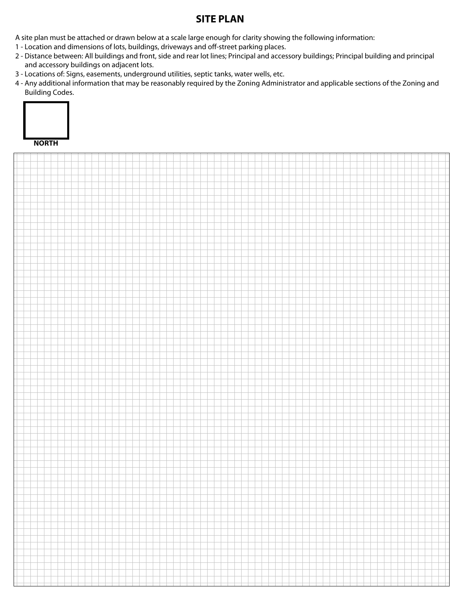## **SITE PLAN**

A site plan must be attached or drawn below at a scale large enough for clarity showing the following information:

- 1 Location and dimensions of lots, buildings, driveways and off-street parking places.
- 2 Distance between: All buildings and front, side and rear lot lines; Principal and accessory buildings; Principal building and principal and accessory buildings on adjacent lots.
- 3 Locations of: Signs, easements, underground utilities, septic tanks, water wells, etc.
- 4 Any additional information that may be reasonably required by the Zoning Administrator and applicable sections of the Zoning and Building Codes.